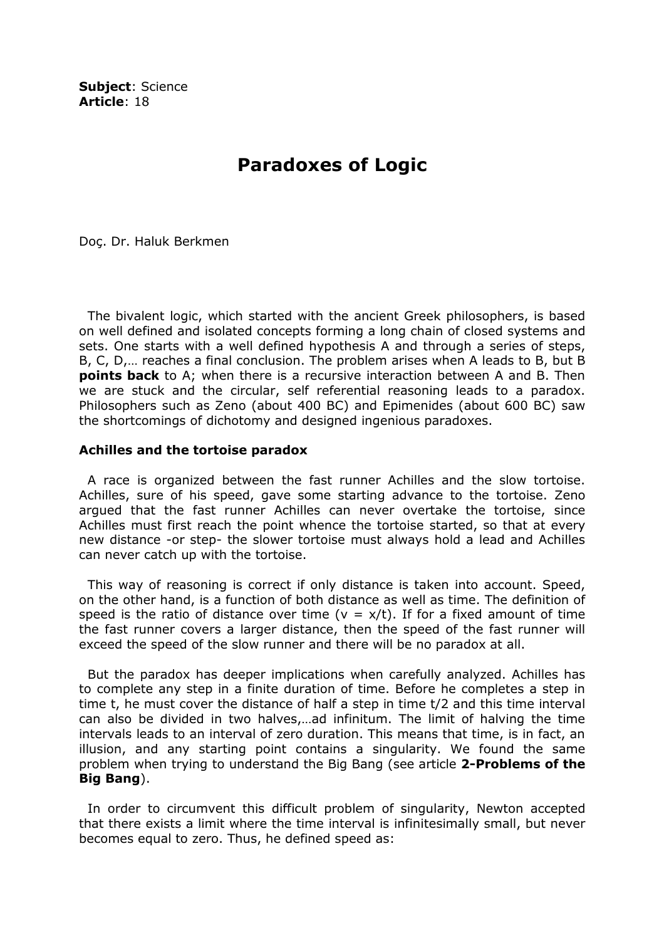Subject: Science Article: 18

## Paradoxes of Logic

Doç. Dr. Haluk Berkmen

 The bivalent logic, which started with the ancient Greek philosophers, is based on well defined and isolated concepts forming a long chain of closed systems and sets. One starts with a well defined hypothesis A and through a series of steps, B, C, D,… reaches a final conclusion. The problem arises when A leads to B, but B **points back** to A; when there is a recursive interaction between A and B. Then we are stuck and the circular, self referential reasoning leads to a paradox. Philosophers such as Zeno (about 400 BC) and Epimenides (about 600 BC) saw the shortcomings of dichotomy and designed ingenious paradoxes.

## Achilles and the tortoise paradox

 A race is organized between the fast runner Achilles and the slow tortoise. Achilles, sure of his speed, gave some starting advance to the tortoise. Zeno argued that the fast runner Achilles can never overtake the tortoise, since Achilles must first reach the point whence the tortoise started, so that at every new distance -or step- the slower tortoise must always hold a lead and Achilles can never catch up with the tortoise.

 This way of reasoning is correct if only distance is taken into account. Speed, on the other hand, is a function of both distance as well as time. The definition of speed is the ratio of distance over time ( $v = x/t$ ). If for a fixed amount of time the fast runner covers a larger distance, then the speed of the fast runner will exceed the speed of the slow runner and there will be no paradox at all.

 But the paradox has deeper implications when carefully analyzed. Achilles has to complete any step in a finite duration of time. Before he completes a step in time t, he must cover the distance of half a step in time t/2 and this time interval can also be divided in two halves,…ad infinitum. The limit of halving the time intervals leads to an interval of zero duration. This means that time, is in fact, an illusion, and any starting point contains a singularity. We found the same problem when trying to understand the Big Bang (see article 2-Problems of the Big Bang).

 In order to circumvent this difficult problem of singularity, Newton accepted that there exists a limit where the time interval is infinitesimally small, but never becomes equal to zero. Thus, he defined speed as: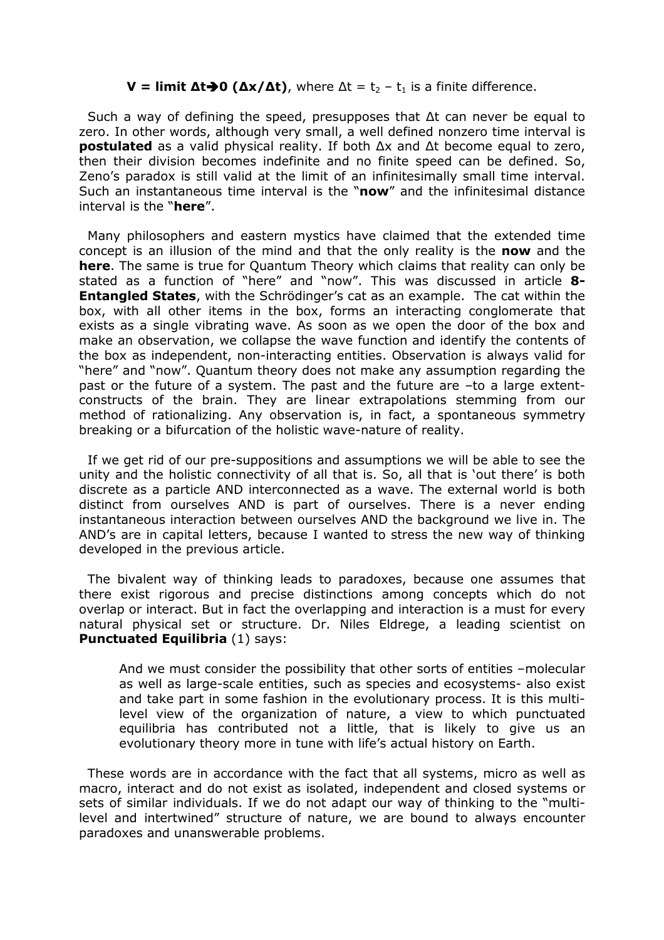## $$

 Such a way of defining the speed, presupposes that ∆t can never be equal to zero. In other words, although very small, a well defined nonzero time interval is **postulated** as a valid physical reality. If both  $\Delta x$  and  $\Delta t$  become equal to zero, then their division becomes indefinite and no finite speed can be defined. So, Zeno's paradox is still valid at the limit of an infinitesimally small time interval. Such an instantaneous time interval is the "now" and the infinitesimal distance interval is the "here".

 Many philosophers and eastern mystics have claimed that the extended time concept is an illusion of the mind and that the only reality is the now and the here. The same is true for Quantum Theory which claims that reality can only be stated as a function of "here" and "now". This was discussed in article 8-**Entangled States,** with the Schrödinger's cat as an example. The cat within the box, with all other items in the box, forms an interacting conglomerate that exists as a single vibrating wave. As soon as we open the door of the box and make an observation, we collapse the wave function and identify the contents of the box as independent, non-interacting entities. Observation is always valid for "here" and "now". Quantum theory does not make any assumption regarding the past or the future of a system. The past and the future are –to a large extentconstructs of the brain. They are linear extrapolations stemming from our method of rationalizing. Any observation is, in fact, a spontaneous symmetry breaking or a bifurcation of the holistic wave-nature of reality.

 If we get rid of our pre-suppositions and assumptions we will be able to see the unity and the holistic connectivity of all that is. So, all that is 'out there' is both discrete as a particle AND interconnected as a wave. The external world is both distinct from ourselves AND is part of ourselves. There is a never ending instantaneous interaction between ourselves AND the background we live in. The AND's are in capital letters, because I wanted to stress the new way of thinking developed in the previous article.

 The bivalent way of thinking leads to paradoxes, because one assumes that there exist rigorous and precise distinctions among concepts which do not overlap or interact. But in fact the overlapping and interaction is a must for every natural physical set or structure. Dr. Niles Eldrege, a leading scientist on Punctuated Equilibria (1) says:

And we must consider the possibility that other sorts of entities –molecular as well as large-scale entities, such as species and ecosystems- also exist and take part in some fashion in the evolutionary process. It is this multilevel view of the organization of nature, a view to which punctuated equilibria has contributed not a little, that is likely to give us an evolutionary theory more in tune with life's actual history on Earth.

 These words are in accordance with the fact that all systems, micro as well as macro, interact and do not exist as isolated, independent and closed systems or sets of similar individuals. If we do not adapt our way of thinking to the "multilevel and intertwined" structure of nature, we are bound to always encounter paradoxes and unanswerable problems.